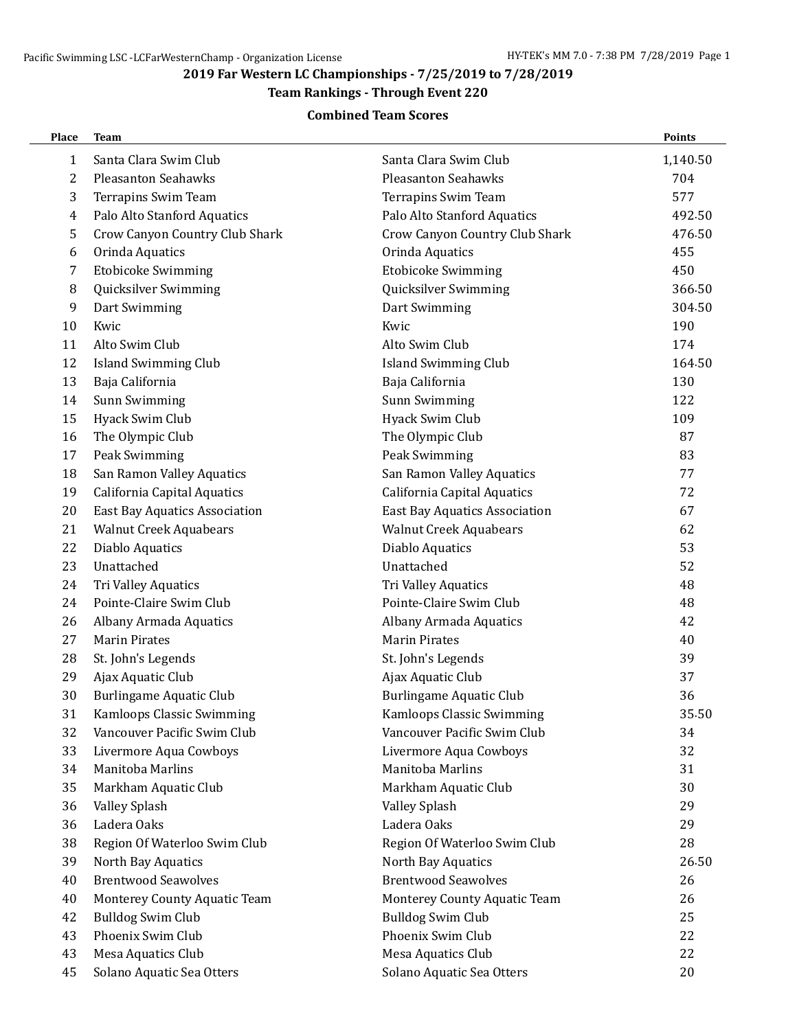### **2019 Far Western LC Championships - 7/25/2019 to 7/28/2019**

## **Team Rankings - Through Event 220**

#### **Combined Team Scores**

| Place | <b>Team</b>                          |                                      | Points   |
|-------|--------------------------------------|--------------------------------------|----------|
| 1     | Santa Clara Swim Club                | Santa Clara Swim Club                | 1,140.50 |
| 2     | <b>Pleasanton Seahawks</b>           | <b>Pleasanton Seahawks</b>           | 704      |
| 3     | Terrapins Swim Team                  | Terrapins Swim Team                  | 577      |
| 4     | Palo Alto Stanford Aquatics          | Palo Alto Stanford Aquatics          | 492.50   |
| 5     | Crow Canyon Country Club Shark       | Crow Canyon Country Club Shark       | 476.50   |
| 6     | Orinda Aquatics                      | Orinda Aquatics                      | 455      |
| 7     | <b>Etobicoke Swimming</b>            | <b>Etobicoke Swimming</b>            | 450      |
| 8     | Quicksilver Swimming                 | Quicksilver Swimming                 | 366.50   |
| 9     | Dart Swimming                        | Dart Swimming                        | 304.50   |
| 10    | Kwic                                 | Kwic                                 | 190      |
| 11    | Alto Swim Club                       | Alto Swim Club                       | 174      |
| 12    | <b>Island Swimming Club</b>          | <b>Island Swimming Club</b>          | 164.50   |
| 13    | Baja California                      | Baja California                      | 130      |
| 14    | Sunn Swimming                        | Sunn Swimming                        | 122      |
| 15    | Hyack Swim Club                      | Hyack Swim Club                      | 109      |
| 16    | The Olympic Club                     | The Olympic Club                     | 87       |
| 17    | Peak Swimming                        | Peak Swimming                        | 83       |
| 18    | San Ramon Valley Aquatics            | San Ramon Valley Aquatics            | 77       |
| 19    | California Capital Aquatics          | California Capital Aquatics          | 72       |
| 20    | <b>East Bay Aquatics Association</b> | <b>East Bay Aquatics Association</b> | 67       |
| 21    | <b>Walnut Creek Aquabears</b>        | <b>Walnut Creek Aquabears</b>        | 62       |
| 22    | Diablo Aquatics                      | Diablo Aquatics                      | 53       |
| 23    | Unattached                           | Unattached                           | 52       |
| 24    | Tri Valley Aquatics                  | Tri Valley Aquatics                  | 48       |
| 24    | Pointe-Claire Swim Club              | Pointe-Claire Swim Club              | 48       |
| 26    | Albany Armada Aquatics               | Albany Armada Aquatics               | 42       |
| 27    | <b>Marin Pirates</b>                 | <b>Marin Pirates</b>                 | 40       |
| 28    | St. John's Legends                   | St. John's Legends                   | 39       |
| 29    | Ajax Aquatic Club                    | Ajax Aquatic Club                    | 37       |
| 30    | <b>Burlingame Aquatic Club</b>       | <b>Burlingame Aquatic Club</b>       | 36       |
| 31    | Kamloops Classic Swimming            | Kamloops Classic Swimming            | 35.50    |
| 32    | Vancouver Pacific Swim Club          | Vancouver Pacific Swim Club          | 34       |
| 33    | Livermore Aqua Cowboys               | Livermore Aqua Cowboys               | 32       |
| 34    | Manitoba Marlins                     | Manitoba Marlins                     | 31       |
| 35    | Markham Aquatic Club                 | Markham Aquatic Club                 | 30       |
| 36    | Valley Splash                        | Valley Splash                        | 29       |
| 36    | Ladera Oaks                          | Ladera Oaks                          | 29       |
| 38    | Region Of Waterloo Swim Club         | Region Of Waterloo Swim Club         | 28       |
| 39    | North Bay Aquatics                   | North Bay Aquatics                   | 26.50    |
| 40    | <b>Brentwood Seawolves</b>           | <b>Brentwood Seawolves</b>           | 26       |
| 40    | Monterey County Aquatic Team         | Monterey County Aquatic Team         | 26       |
| 42    | <b>Bulldog Swim Club</b>             | <b>Bulldog Swim Club</b>             | 25       |
| 43    | Phoenix Swim Club                    | Phoenix Swim Club                    | 22       |
| 43    | Mesa Aquatics Club                   | Mesa Aquatics Club                   | 22       |
| 45    | Solano Aquatic Sea Otters            | Solano Aquatic Sea Otters            | 20       |